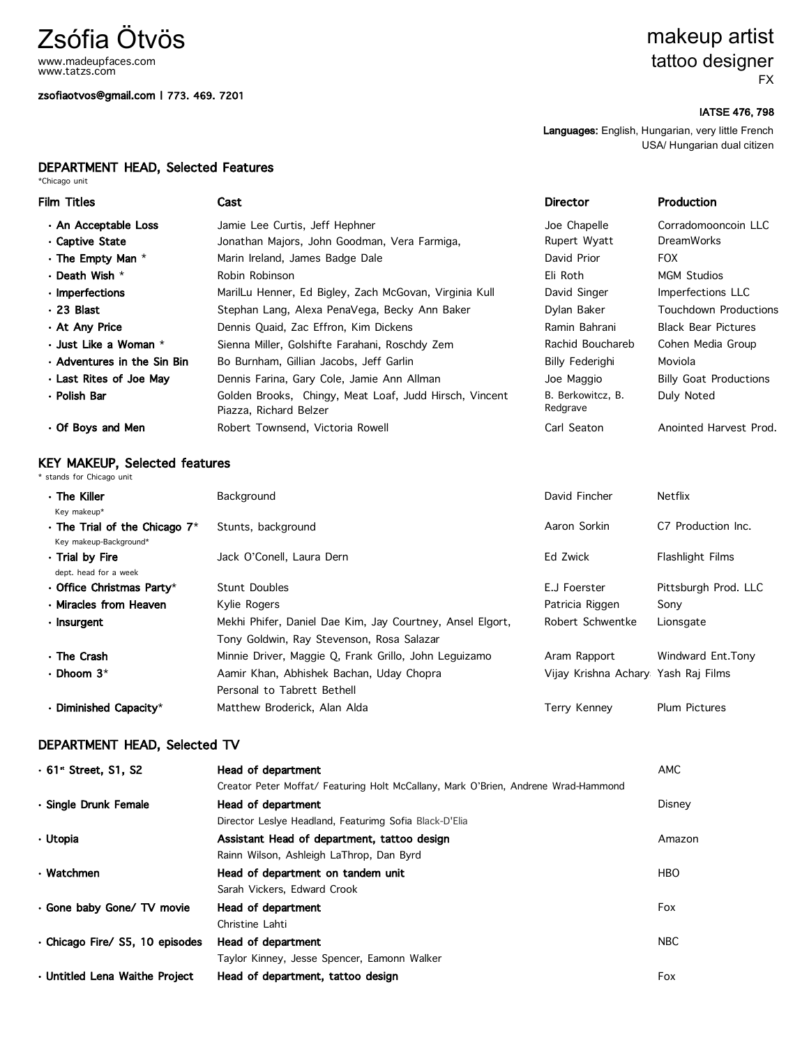# Zsófia Ötvös

www.madeupfaces.com www.tatzs.com

### zsofiaotvos@gmail.com | 773. 469. 7201

### makeup artist tattoo designer FX

### IATSE 476, 798

Languages: English, Hungarian, very little French USA/ Hungarian dual citizen

## DEPARTMENT HEAD, Selected Features<br>\*Chicago unit

| Film Titles                          | Cast                                                                             | <b>Director</b>               | Production                    |
|--------------------------------------|----------------------------------------------------------------------------------|-------------------------------|-------------------------------|
| · An Acceptable Loss                 | Jamie Lee Curtis, Jeff Hephner                                                   | Joe Chapelle                  | Corradomooncoin LLC           |
| ⋅ Captive State                      | Jonathan Majors, John Goodman, Vera Farmiga,                                     | Rupert Wyatt                  | <b>DreamWorks</b>             |
| $\cdot$ The Empty Man $*$            | Marin Ireland, James Badge Dale                                                  | David Prior                   | <b>FOX</b>                    |
| $\cdot$ Death Wish $^{\star}$        | Robin Robinson                                                                   | Eli Roth                      | <b>MGM Studios</b>            |
| · Imperfections                      | MarilLu Henner, Ed Bigley, Zach McGovan, Virginia Kull                           | David Singer                  | Imperfections LLC             |
| · 23 Blast                           | Stephan Lang, Alexa PenaVega, Becky Ann Baker                                    | Dylan Baker                   | Touchdown Productions         |
| ∙ At Any Price                       | Dennis Quaid, Zac Effron, Kim Dickens                                            | Ramin Bahrani                 | <b>Black Bear Pictures</b>    |
| $\cdot$ Just Like a Woman $^{\star}$ | Sienna Miller, Golshifte Farahani, Roschdy Zem                                   | Rachid Bouchareb              | Cohen Media Group             |
| $\cdot$ Adventures in the Sin Bin    | Bo Burnham, Gillian Jacobs, Jeff Garlin                                          | <b>Billy Federighi</b>        | Moviola                       |
| . Last Rites of Joe May              | Dennis Farina, Gary Cole, Jamie Ann Allman                                       | Joe Maggio                    | <b>Billy Goat Productions</b> |
| • Polish Bar                         | Golden Brooks, Chingy, Meat Loaf, Judd Hirsch, Vincent<br>Piazza, Richard Belzer | B. Berkowitcz, B.<br>Redgrave | Duly Noted                    |
| ⋅ Of Boys and Men                    | Robert Townsend, Victoria Rowell                                                 | Carl Seaton                   | Anointed Harvest Prod.        |
|                                      |                                                                                  |                               |                               |

## KEY MAKEUP, Selected features \* stands for Chicago unit

| $\cdot$ The Killer<br>Key makeup*                             | Background                                                                                             | David Fincher                       | Netflix              |
|---------------------------------------------------------------|--------------------------------------------------------------------------------------------------------|-------------------------------------|----------------------|
| $\cdot$ The Trial of the Chicago 7*<br>Key makeup-Background* | Stunts, background                                                                                     | Aaron Sorkin                        | C7 Production Inc.   |
| ⋅ Trial by Fire<br>dept. head for a week                      | Jack O'Conell, Laura Dern                                                                              | Ed Zwick                            | Flashlight Films     |
| $\cdot$ Office Christmas Party*                               | Stunt Doubles                                                                                          | E.J Foerster                        | Pittsburgh Prod. LLC |
| · Miracles from Heaven                                        | Kylie Rogers                                                                                           | Patricia Riggen                     | Sony                 |
| $\cdot$ Insurgent                                             | Mekhi Phifer, Daniel Dae Kim, Jay Courtney, Ansel Elgort,<br>Tony Goldwin, Ray Stevenson, Rosa Salazar | Robert Schwentke                    | Lionsgate            |
| ⋅ The Crash                                                   | Minnie Driver, Maggie Q, Frank Grillo, John Leguizamo                                                  | Aram Rapport                        | Windward Ent. Tony   |
| $\cdot$ Dhoom 3*                                              | Aamir Khan, Abhishek Bachan, Uday Chopra                                                               | Vijay Krishna Achary Yash Raj Films |                      |
|                                                               | Personal to Tabrett Bethell                                                                            |                                     |                      |
| $\cdot$ Diminished Capacity*                                  | Matthew Broderick, Alan Alda                                                                           | Terry Kenney                        | <b>Plum Pictures</b> |

### DEPARTMENT HEAD, Selected TV

| $.61$ Street, S1, S2            | Head of department                                                                 | <b>AMC</b> |
|---------------------------------|------------------------------------------------------------------------------------|------------|
|                                 | Creator Peter Moffat/ Featuring Holt McCallany, Mark O'Brien, Andrene Wrad-Hammond |            |
| · Single Drunk Female           | Head of department                                                                 | Disney     |
|                                 | Director Leslye Headland, Featurimg Sofia Black-D'Elia                             |            |
| · Utopia                        | Assistant Head of department, tattoo design                                        | Amazon     |
|                                 | Rainn Wilson, Ashleigh LaThrop, Dan Byrd                                           |            |
| $\cdot$ Watchmen                | Head of department on tandem unit                                                  | <b>HBO</b> |
|                                 | Sarah Vickers, Edward Crook                                                        |            |
| · Gone baby Gone/ TV movie      | Head of department                                                                 | Fox        |
|                                 | Christine Lahti                                                                    |            |
| · Chicago Fire/ S5, 10 episodes | Head of department                                                                 | <b>NBC</b> |
|                                 | Taylor Kinney, Jesse Spencer, Eamonn Walker                                        |            |
| · Untitled Lena Waithe Project  | Head of department, tattoo design                                                  | Fox        |